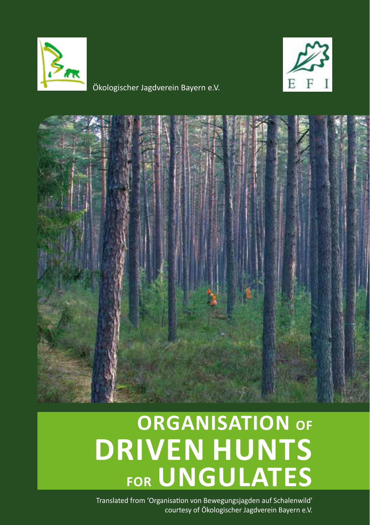

Ökologischer Jagdverein Bayern e.V.





# **Organisation of driven hunts for ungulates**

Translated from 'Organisation von Bewegungsjagden auf Schalenwild' courtesy of Ökologischer Jagdverein Bayern e.V.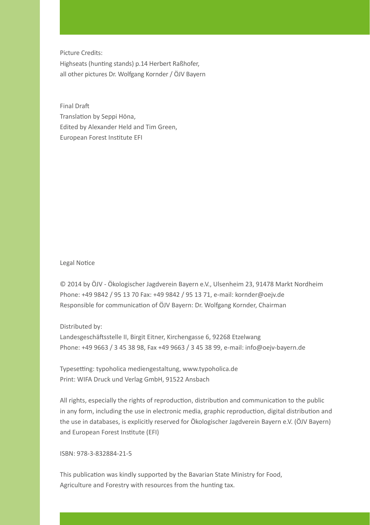Picture Credits: Highseats (hunting stands) p.14 Herbert Raßhofer, all other pictures Dr. Wolfgang Kornder / ÖJV Bayern

Final Draft Translation by Seppi Höna, Edited by Alexander Held and Tim Green, European Forest Institute EFI

Legal Notice

© 2014 by ÖJV - Ökologischer Jagdverein Bayern e.V., Ulsenheim 23, 91478 Markt Nordheim Phone: +49 9842 / 95 13 70 Fax: +49 9842 / 95 13 71, e-mail: kornder@oejv.de Responsible for communication of ÖJV Bayern: Dr. Wolfgang Kornder, Chairman

#### Distributed by:

Landesgeschäftsstelle II, Birgit Eitner, Kirchengasse 6, 92268 Etzelwang Phone: +49 9663 / 3 45 38 98, Fax +49 9663 / 3 45 38 99, e-mail: info@oejv-bayern.de

Typesetting: typoholica mediengestaltung, www.typoholica.de Print: WIFA Druck und Verlag GmbH, 91522 Ansbach

All rights, especially the rights of reproduction, distribution and communication to the public in any form, including the use in electronic media, graphic reproduction, digital distribution and the use in databases, is explicitly reserved for Ökologischer Jagdverein Bayern e.V. (ÖJV Bayern) and European Forest Institute (EFI)

ISBN: 978-3-832884-21-5

This publication was kindly supported by the Bavarian State Ministry for Food, Agriculture and Forestry with resources from the hunting tax.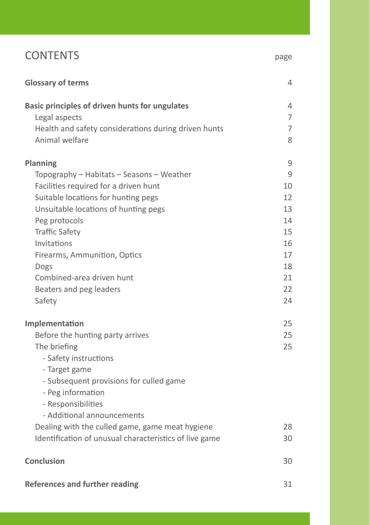## CONTENTS page

| <b>Glossary of terms</b>                                               | 4      |
|------------------------------------------------------------------------|--------|
| <b>Basic principles of driven hunts for ungulates</b><br>Legal aspects | 4<br>7 |
| Health and safety considerations during driven hunts                   | 7      |
| Animal welfare                                                         | 8      |
| <b>Planning</b>                                                        | 9      |
| Topography - Habitats - Seasons - Weather                              | 9      |
| Facilities required for a driven hunt                                  | 10     |
| Suitable locations for hunting pegs                                    | 12     |
| Unsuitable locations of hunting pegs                                   | 13     |
| Peg protocols                                                          | 14     |
| <b>Traffic Safety</b>                                                  | 15     |
| Invitations                                                            | 16     |
| Firearms, Ammunition, Optics                                           | 17     |
| Dogs                                                                   | 18     |
| Combined-area driven hunt                                              | 21     |
| Beaters and peg leaders                                                | 22     |
| Safety                                                                 | 24     |
| Implementation                                                         | 25     |
| Before the hunting party arrives                                       | 25     |
| The briefing                                                           | 25     |
| - Safety instructions                                                  |        |
| - Target game                                                          |        |
| - Subsequent provisions for culled game                                |        |
| - Peg information                                                      |        |
| - Responsibilities                                                     |        |
| - Additional announcements                                             |        |
| Dealing with the culled game, game meat hygiene                        | 28     |
| Identification of unusual characteristics of live game                 | 30     |
| <b>Conclusion</b>                                                      | 30     |
| <b>References and further reading</b>                                  | 31     |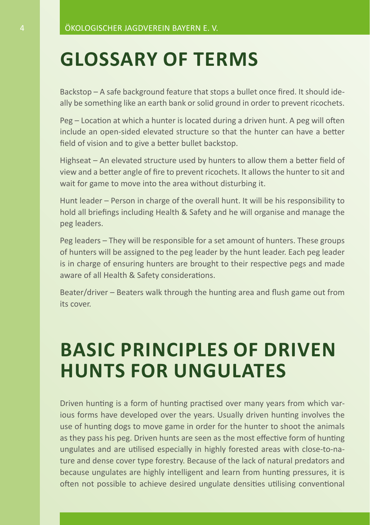## **Glossary of terms**

Backstop – A safe background feature that stops a bullet once fired. It should ideally be something like an earth bank or solid ground in order to prevent ricochets.

Peg – Location at which a hunter is located during a driven hunt. A peg will often include an open-sided elevated structure so that the hunter can have a better field of vision and to give a better bullet backstop.

Highseat – An elevated structure used by hunters to allow them a better field of view and a better angle of fire to prevent ricochets. It allows the hunter to sit and wait for game to move into the area without disturbing it.

Hunt leader – Person in charge of the overall hunt. It will be his responsibility to hold all briefings including Health & Safety and he will organise and manage the peg leaders.

Peg leaders – They will be responsible for a set amount of hunters. These groups of hunters will be assigned to the peg leader by the hunt leader. Each peg leader is in charge of ensuring hunters are brought to their respective pegs and made aware of all Health & Safety considerations.

Beater/driver – Beaters walk through the hunting area and flush game out from its cover.

## **Basic principles of driven hunts for ungulates**

Driven hunting is a form of hunting practised over many years from which various forms have developed over the years. Usually driven hunting involves the use of hunting dogs to move game in order for the hunter to shoot the animals as they pass his peg. Driven hunts are seen as the most effective form of hunting ungulates and are utilised especially in highly forested areas with close-to-nature and dense cover type forestry. Because of the lack of natural predators and because ungulates are highly intelligent and learn from hunting pressures, it is often not possible to achieve desired ungulate densities utilising conventional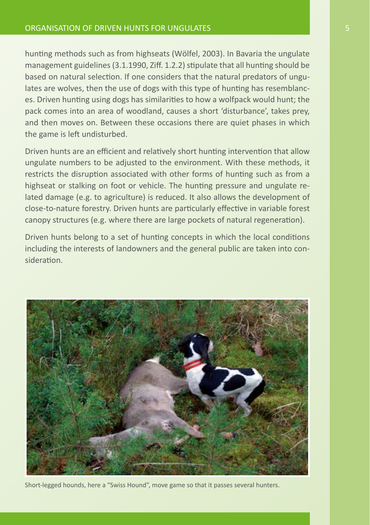hunting methods such as from highseats (Wölfel, 2003). In Bavaria the ungulate management guidelines (3.1.1990, Ziff. 1.2.2) stipulate that all hunting should be based on natural selection. If one considers that the natural predators of ungulates are wolves, then the use of dogs with this type of hunting has resemblances. Driven hunting using dogs has similarities to how a wolfpack would hunt; the pack comes into an area of woodland, causes a short 'disturbance', takes prey, and then moves on. Between these occasions there are quiet phases in which the game is left undisturbed.

Driven hunts are an efficient and relatively short hunting intervention that allow ungulate numbers to be adjusted to the environment. With these methods, it restricts the disruption associated with other forms of hunting such as from a highseat or stalking on foot or vehicle. The hunting pressure and ungulate related damage (e.g. to agriculture) is reduced. It also allows the development of close-to-nature forestry. Driven hunts are particularly effective in variable forest canopy structures (e.g. where there are large pockets of natural regeneration).

Driven hunts belong to a set of hunting concepts in which the local conditions including the interests of landowners and the general public are taken into consideration.



Short-legged hounds, here a "Swiss Hound", move game so that it passes several hunters.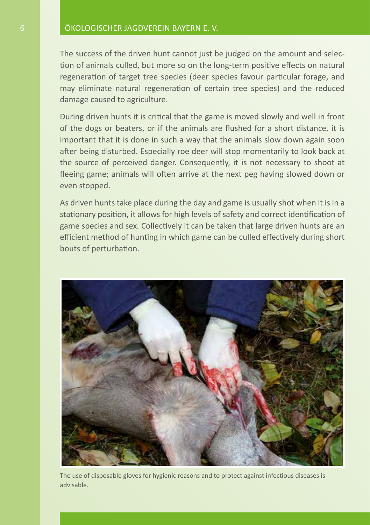The success of the driven hunt cannot just be judged on the amount and selection of animals culled, but more so on the long-term positive effects on natural regeneration of target tree species (deer species favour particular forage, and may eliminate natural regeneration of certain tree species) and the reduced damage caused to agriculture.

During driven hunts it is critical that the game is moved slowly and well in front of the dogs or beaters, or if the animals are flushed for a short distance, it is important that it is done in such a way that the animals slow down again soon after being disturbed. Especially roe deer will stop momentarily to look back at the source of perceived danger. Consequently, it is not necessary to shoot at fleeing game; animals will often arrive at the next peg having slowed down or even stopped.

As driven hunts take place during the day and game is usually shot when it is in a stationary position, it allows for high levels of safety and correct identification of game species and sex. Collectively it can be taken that large driven hunts are an efficient method of hunting in which game can be culled effectively during short bouts of perturbation.



The use of disposable gloves for hygienic reasons and to protect against infectious diseases is advisable.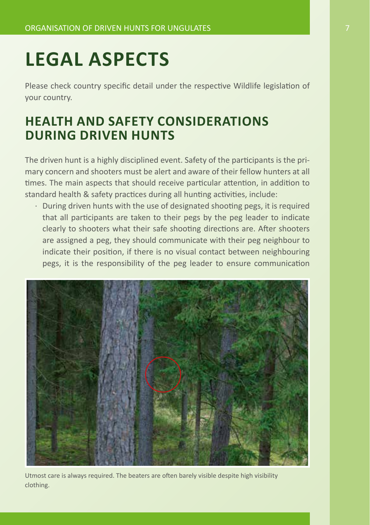## **Legal aspects**

Please check country specific detail under the respective Wildlife legislation of your country.

## **Health and safety considerations during driven hunts**

The driven hunt is a highly disciplined event. Safety of the participants is the primary concern and shooters must be alert and aware of their fellow hunters at all times. The main aspects that should receive particular attention, in addition to standard health & safety practices during all hunting activities, include:

· During driven hunts with the use of designated shooting pegs, it is required that all participants are taken to their pegs by the peg leader to indicate clearly to shooters what their safe shooting directions are. After shooters are assigned a peg, they should communicate with their peg neighbour to indicate their position, if there is no visual contact between neighbouring pegs, it is the responsibility of the peg leader to ensure communication



Utmost care is always required. The beaters are often barely visible despite high visibility clothing.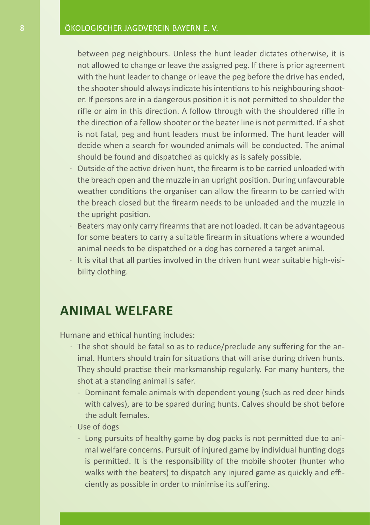between peg neighbours. Unless the hunt leader dictates otherwise, it is not allowed to change or leave the assigned peg. If there is prior agreement with the hunt leader to change or leave the peg before the drive has ended, the shooter should always indicate his intentions to his neighbouring shooter. If persons are in a dangerous position it is not permitted to shoulder the rifle or aim in this direction. A follow through with the shouldered rifle in the direction of a fellow shooter or the beater line is not permitted. If a shot is not fatal, peg and hunt leaders must be informed. The hunt leader will decide when a search for wounded animals will be conducted. The animal should be found and dispatched as quickly as is safely possible.

- · Outside of the active driven hunt, the firearm is to be carried unloaded with the breach open and the muzzle in an upright position. During unfavourable weather conditions the organiser can allow the firearm to be carried with the breach closed but the firearm needs to be unloaded and the muzzle in the upright position.
- · Beaters may only carry firearms that are not loaded. It can be advantageous for some beaters to carry a suitable firearm in situations where a wounded animal needs to be dispatched or a dog has cornered a target animal.
- $\cdot$  It is vital that all parties involved in the driven hunt wear suitable high-visibility clothing.

### **Animal welfare**

Humane and ethical hunting includes:

- · The shot should be fatal so as to reduce/preclude any suffering for the animal. Hunters should train for situations that will arise during driven hunts. They should practise their marksmanship regularly. For many hunters, the shot at a standing animal is safer.
	- Dominant female animals with dependent young (such as red deer hinds with calves), are to be spared during hunts. Calves should be shot before the adult females.
- · Use of dogs
	- Long pursuits of healthy game by dog packs is not permitted due to animal welfare concerns. Pursuit of injured game by individual hunting dogs is permitted. It is the responsibility of the mobile shooter (hunter who walks with the beaters) to dispatch any injured game as quickly and efficiently as possible in order to minimise its suffering.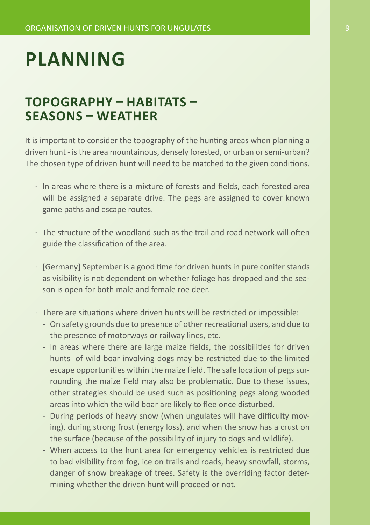## **Planning**

### **Topography – Habitats – Seasons – Weather**

It is important to consider the topography of the hunting areas when planning a driven hunt - is the area mountainous, densely forested, or urban or semi-urban? The chosen type of driven hunt will need to be matched to the given conditions.

- · In areas where there is a mixture of forests and fields, each forested area will be assigned a separate drive. The pegs are assigned to cover known game paths and escape routes.
- · The structure of the woodland such as the trail and road network will often guide the classification of the area.
- · [Germany] September is a good time for driven hunts in pure conifer stands as visibility is not dependent on whether foliage has dropped and the season is open for both male and female roe deer.
- · There are situations where driven hunts will be restricted or impossible:
	- On safety grounds due to presence of other recreational users, and due to the presence of motorways or railway lines, etc.
	- In areas where there are large maize fields, the possibilities for driven hunts of wild boar involving dogs may be restricted due to the limited escape opportunities within the maize field. The safe location of pegs surrounding the maize field may also be problematic. Due to these issues, other strategies should be used such as positioning pegs along wooded areas into which the wild boar are likely to flee once disturbed.
	- During periods of heavy snow (when ungulates will have difficulty moving), during strong frost (energy loss), and when the snow has a crust on the surface (because of the possibility of injury to dogs and wildlife).
	- When access to the hunt area for emergency vehicles is restricted due to bad visibility from fog, ice on trails and roads, heavy snowfall, storms, danger of snow breakage of trees. Safety is the overriding factor determining whether the driven hunt will proceed or not.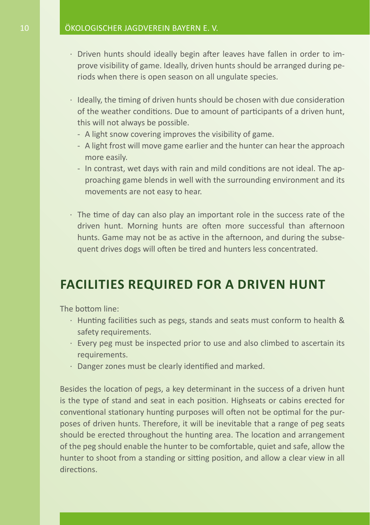- · Driven hunts should ideally begin after leaves have fallen in order to improve visibility of game. Ideally, driven hunts should be arranged during periods when there is open season on all ungulate species.
- · Ideally, the timing of driven hunts should be chosen with due consideration of the weather conditions. Due to amount of participants of a driven hunt, this will not always be possible.
	- A light snow covering improves the visibility of game.
	- A light frost will move game earlier and the hunter can hear the approach more easily.
	- In contrast, wet days with rain and mild conditions are not ideal. The approaching game blends in well with the surrounding environment and its movements are not easy to hear.
- · The time of day can also play an important role in the success rate of the driven hunt. Morning hunts are often more successful than afternoon hunts. Game may not be as active in the afternoon, and during the subsequent drives dogs will often be tired and hunters less concentrated.

### **Facilities required for a driven hunt**

The bottom line:

- · Hunting facilities such as pegs, stands and seats must conform to health & safety requirements.
- · Every peg must be inspected prior to use and also climbed to ascertain its requirements.
- · Danger zones must be clearly identified and marked.

Besides the location of pegs, a key determinant in the success of a driven hunt is the type of stand and seat in each position. Highseats or cabins erected for conventional stationary hunting purposes will often not be optimal for the purposes of driven hunts. Therefore, it will be inevitable that a range of peg seats should be erected throughout the hunting area. The location and arrangement of the peg should enable the hunter to be comfortable, quiet and safe, allow the hunter to shoot from a standing or sitting position, and allow a clear view in all directions.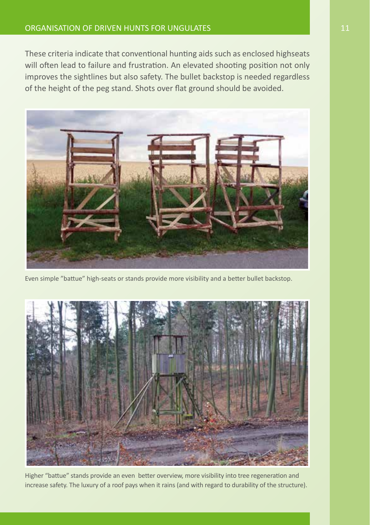#### ORGANISATION OF DRIVEN HUNTS FOR UNGULATES 11 11 11

These criteria indicate that conventional hunting aids such as enclosed highseats will often lead to failure and frustration. An elevated shooting position not only improves the sightlines but also safety. The bullet backstop is needed regardless of the height of the peg stand. Shots over flat ground should be avoided.



Even simple "battue" high-seats or stands provide more visibility and a better bullet backstop.



Higher "battue" stands provide an even better overview, more visibility into tree regeneration and increase safety. The luxury of a roof pays when it rains (and with regard to durability of the structure).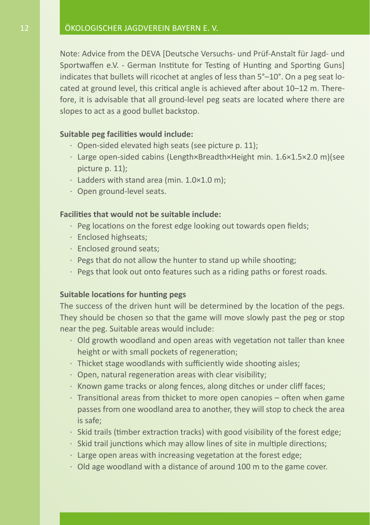Note: Advice from the DEVA [Deutsche Versuchs- und Prüf-Anstalt für Jagd- und Sportwaffen e.V. - German Institute for Testing of Hunting and Sporting Guns] indicates that bullets will ricochet at angles of less than 5°–10°. On a peg seat located at ground level, this critical angle is achieved after about 10–12 m. Therefore, it is advisable that all ground-level peg seats are located where there are slopes to act as a good bullet backstop.

#### **Suitable peg facilities would include:**

- · Open-sided elevated high seats (see picture p. 11);
- · Large open-sided cabins (Length×Breadth×Height min. 1.6×1.5×2.0 m)(see picture p. 11);
- · Ladders with stand area (min. 1.0×1.0 m);
- · Open ground-level seats.

#### **Facilities that would not be suitable include:**

- · Peg locations on the forest edge looking out towards open fields;
- · Enclosed highseats;
- · Enclosed ground seats;
- $\cdot$  Pegs that do not allow the hunter to stand up while shooting;
- · Pegs that look out onto features such as a riding paths or forest roads.

#### **Suitable locations for hunting pegs**

The success of the driven hunt will be determined by the location of the pegs. They should be chosen so that the game will move slowly past the peg or stop near the peg. Suitable areas would include:

- · Old growth woodland and open areas with vegetation not taller than knee height or with small pockets of regeneration;
- · Thicket stage woodlands with sufficiently wide shooting aisles;
- · Open, natural regeneration areas with clear visibility;
- · Known game tracks or along fences, along ditches or under cliff faces;
- · Transitional areas from thicket to more open canopies often when game passes from one woodland area to another, they will stop to check the area is safe;
- · Skid trails (timber extraction tracks) with good visibility of the forest edge;
- · Skid trail junctions which may allow lines of site in multiple directions;
- $\cdot$  Large open areas with increasing vegetation at the forest edge;
- · Old age woodland with a distance of around 100 m to the game cover.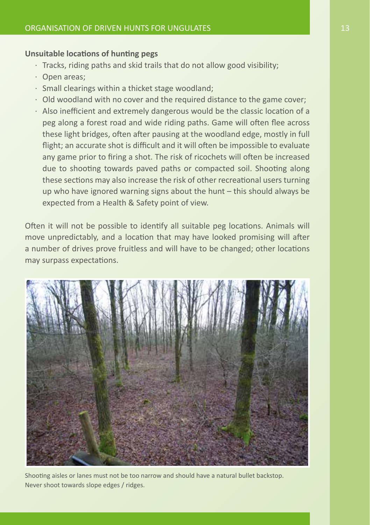#### **Unsuitable locations of hunting pegs**

- · Tracks, riding paths and skid trails that do not allow good visibility;
- · Open areas;
- · Small clearings within a thicket stage woodland;
- · Old woodland with no cover and the required distance to the game cover;
- · Also inefficient and extremely dangerous would be the classic location of a peg along a forest road and wide riding paths. Game will often flee across these light bridges, often after pausing at the woodland edge, mostly in full flight; an accurate shot is difficult and it will often be impossible to evaluate any game prior to firing a shot. The risk of ricochets will often be increased due to shooting towards paved paths or compacted soil. Shooting along these sections may also increase the risk of other recreational users turning up who have ignored warning signs about the hunt – this should always be expected from a Health & Safety point of view.

Often it will not be possible to identify all suitable peg locations. Animals will move unpredictably, and a location that may have looked promising will after a number of drives prove fruitless and will have to be changed; other locations may surpass expectations.



Shooting aisles or lanes must not be too narrow and should have a natural bullet backstop. Never shoot towards slope edges / ridges.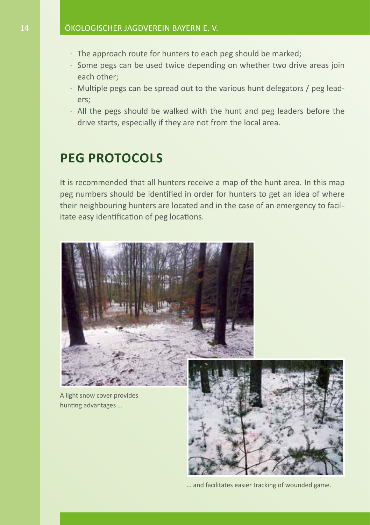- · The approach route for hunters to each peg should be marked;
- · Some pegs can be used twice depending on whether two drive areas join each other;
- · Multiple pegs can be spread out to the various hunt delegators / peg leaders;
- · All the pegs should be walked with the hunt and peg leaders before the drive starts, especially if they are not from the local area.

## **Peg protocols**

It is recommended that all hunters receive a map of the hunt area. In this map peg numbers should be identified in order for hunters to get an idea of where their neighbouring hunters are located and in the case of an emergency to facilitate easy identification of peg locations.



A light snow cover provides hunting advantages …



… and facilitates easier tracking of wounded game.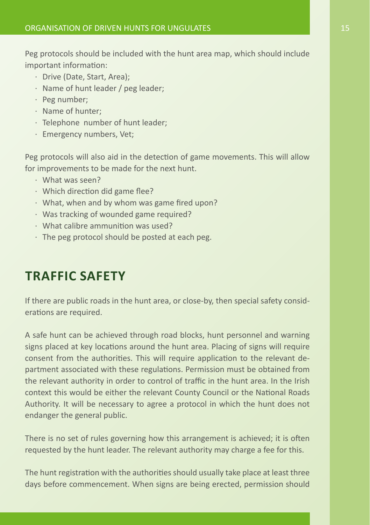Peg protocols should be included with the hunt area map, which should include important information:

- · Drive (Date, Start, Area);
- · Name of hunt leader / peg leader;
- · Peg number;
- · Name of hunter;
- · Telephone number of hunt leader;
- · Emergency numbers, Vet;

Peg protocols will also aid in the detection of game movements. This will allow for improvements to be made for the next hunt.

- · What was seen?
- · Which direction did game flee?
- · What, when and by whom was game fired upon?
- · Was tracking of wounded game required?
- · What calibre ammunition was used?
- · The peg protocol should be posted at each peg.

## **Traffic Safety**

If there are public roads in the hunt area, or close-by, then special safety considerations are required.

A safe hunt can be achieved through road blocks, hunt personnel and warning signs placed at key locations around the hunt area. Placing of signs will require consent from the authorities. This will require application to the relevant department associated with these regulations. Permission must be obtained from the relevant authority in order to control of traffic in the hunt area. In the Irish context this would be either the relevant County Council or the National Roads Authority. It will be necessary to agree a protocol in which the hunt does not endanger the general public.

There is no set of rules governing how this arrangement is achieved; it is often requested by the hunt leader. The relevant authority may charge a fee for this.

The hunt registration with the authorities should usually take place at least three days before commencement. When signs are being erected, permission should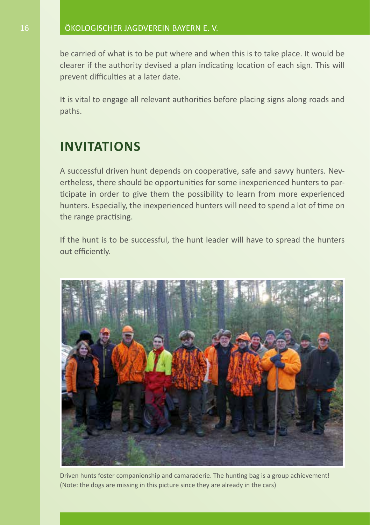be carried of what is to be put where and when this is to take place. It would be clearer if the authority devised a plan indicating location of each sign. This will prevent difficulties at a later date.

It is vital to engage all relevant authorities before placing signs along roads and paths.

## **Invitations**

A successful driven hunt depends on cooperative, safe and savvy hunters. Nevertheless, there should be opportunities for some inexperienced hunters to participate in order to give them the possibility to learn from more experienced hunters. Especially, the inexperienced hunters will need to spend a lot of time on the range practising.

If the hunt is to be successful, the hunt leader will have to spread the hunters out efficiently.



Driven hunts foster companionship and camaraderie. The hunting bag is a group achievement! (Note: the dogs are missing in this picture since they are already in the cars)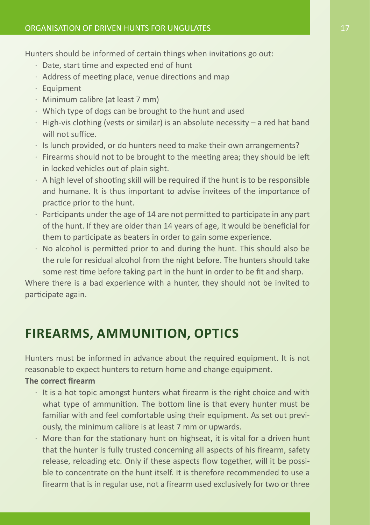Hunters should be informed of certain things when invitations go out:

- · Date, start time and expected end of hunt
- · Address of meeting place, venue directions and map
- · Equipment
- · Minimum calibre (at least 7 mm)
- · Which type of dogs can be brought to the hunt and used
- $\cdot$  High-vis clothing (vests or similar) is an absolute necessity a red hat band will not suffice.
- · Is lunch provided, or do hunters need to make their own arrangements?
- · Firearms should not to be brought to the meeting area; they should be left in locked vehicles out of plain sight.
- · A high level of shooting skill will be required if the hunt is to be responsible and humane. It is thus important to advise invitees of the importance of practice prior to the hunt.
- · Participants under the age of 14 are not permitted to participate in any part of the hunt. If they are older than 14 years of age, it would be beneficial for them to participate as beaters in order to gain some experience.
- · No alcohol is permitted prior to and during the hunt. This should also be the rule for residual alcohol from the night before. The hunters should take some rest time before taking part in the hunt in order to be fit and sharp.

Where there is a bad experience with a hunter, they should not be invited to participate again.

## **Firearms, Ammunition, Optics**

Hunters must be informed in advance about the required equipment. It is not reasonable to expect hunters to return home and change equipment.

#### **The correct firearm**

- · It is a hot topic amongst hunters what firearm is the right choice and with what type of ammunition. The bottom line is that every hunter must be familiar with and feel comfortable using their equipment. As set out previously, the minimum calibre is at least 7 mm or upwards.
- · More than for the stationary hunt on highseat, it is vital for a driven hunt that the hunter is fully trusted concerning all aspects of his firearm, safety release, reloading etc. Only if these aspects flow together, will it be possible to concentrate on the hunt itself. It is therefore recommended to use a firearm that is in regular use, not a firearm used exclusively for two or three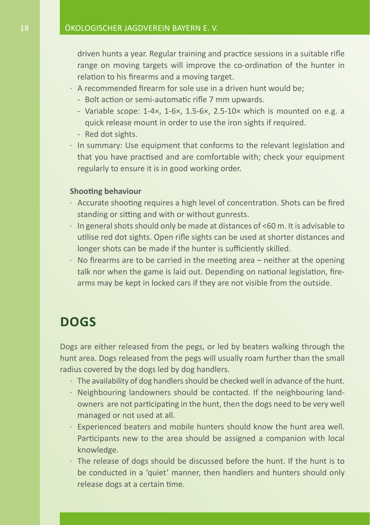driven hunts a year. Regular training and practice sessions in a suitable rifle range on moving targets will improve the co-ordination of the hunter in relation to his firearms and a moving target.

- · A recommended firearm for sole use in a driven hunt would be;
	- Bolt action or semi-automatic rifle 7 mm upwards.
	- Variable scope: 1-4×, 1-6×, 1.5-6×, 2.5-10× which is mounted on e.g. a quick release mount in order to use the iron sights if required.
	- Red dot sights.
- · In summary: Use equipment that conforms to the relevant legislation and that you have practised and are comfortable with; check your equipment regularly to ensure it is in good working order.

#### **Shooting behaviour**

- · Accurate shooting requires a high level of concentration. Shots can be fired standing or sitting and with or without gunrests.
- · In general shots should only be made at distances of <60 m. It is advisable to utilise red dot sights. Open rifle sights can be used at shorter distances and longer shots can be made if the hunter is sufficiently skilled.
- $\cdot$  No firearms are to be carried in the meeting area neither at the opening talk nor when the game is laid out. Depending on national legislation, firearms may be kept in locked cars if they are not visible from the outside.

### **Dogs**

Dogs are either released from the pegs, or led by beaters walking through the hunt area. Dogs released from the pegs will usually roam further than the small radius covered by the dogs led by dog handlers.

- · The availability of dog handlers should be checked well in advance of the hunt.
- · Neighbouring landowners should be contacted. If the neighbouring landowners are not participating in the hunt, then the dogs need to be very well managed or not used at all.
- · Experienced beaters and mobile hunters should know the hunt area well. Participants new to the area should be assigned a companion with local knowledge.
- · The release of dogs should be discussed before the hunt. If the hunt is to be conducted in a 'quiet' manner, then handlers and hunters should only release dogs at a certain time.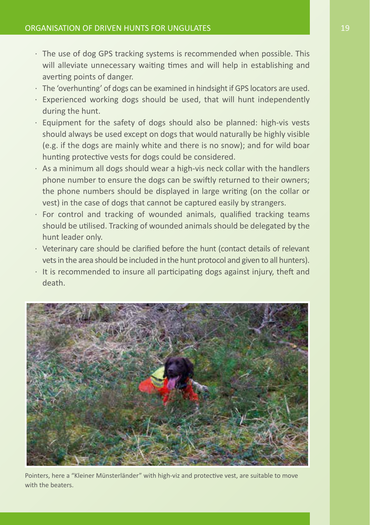- · The use of dog GPS tracking systems is recommended when possible. This will alleviate unnecessary waiting times and will help in establishing and averting points of danger.
- · The 'overhunting' of dogs can be examined in hindsight if GPS locators are used.
- · Experienced working dogs should be used, that will hunt independently during the hunt.
- · Equipment for the safety of dogs should also be planned: high-vis vests should always be used except on dogs that would naturally be highly visible (e.g. if the dogs are mainly white and there is no snow); and for wild boar hunting protective vests for dogs could be considered.
- · As a minimum all dogs should wear a high-vis neck collar with the handlers phone number to ensure the dogs can be swiftly returned to their owners; the phone numbers should be displayed in large writing (on the collar or vest) in the case of dogs that cannot be captured easily by strangers.
- · For control and tracking of wounded animals, qualified tracking teams should be utilised. Tracking of wounded animals should be delegated by the hunt leader only.
- · Veterinary care should be clarified before the hunt (contact details of relevant vets in the area should be included in the hunt protocol and given to all hunters).
- · It is recommended to insure all participating dogs against injury, theft and death.



Pointers, here a "Kleiner Münsterländer" with high-viz and protective vest, are suitable to move with the beaters.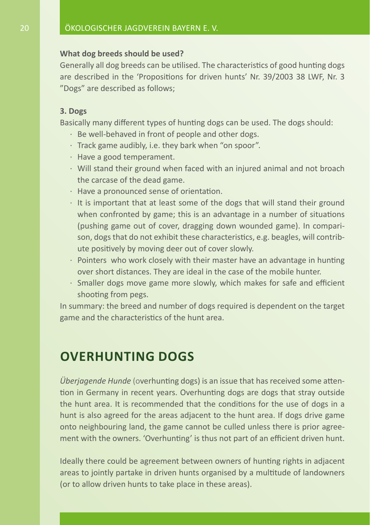#### **What dog breeds should be used?**

Generally all dog breeds can be utilised. The characteristics of good hunting dogs are described in the 'Propositions for driven hunts' Nr. 39/2003 38 LWF, Nr. 3 "Dogs" are described as follows;

#### **3. Dogs**

Basically many different types of hunting dogs can be used. The dogs should:

- · Be well-behaved in front of people and other dogs.
- · Track game audibly, i.e. they bark when "on spoor".
- · Have a good temperament.
- · Will stand their ground when faced with an injured animal and not broach the carcase of the dead game.
- · Have a pronounced sense of orientation.
- · It is important that at least some of the dogs that will stand their ground when confronted by game; this is an advantage in a number of situations (pushing game out of cover, dragging down wounded game). In comparison, dogs that do not exhibit these characteristics, e.g. beagles, will contribute positively by moving deer out of cover slowly.
- · Pointers who work closely with their master have an advantage in hunting over short distances. They are ideal in the case of the mobile hunter.
- · Smaller dogs move game more slowly, which makes for safe and efficient shooting from pegs.

In summary: the breed and number of dogs required is dependent on the target game and the characteristics of the hunt area.

## **Overhunting dogs**

*Überjagende Hunde* (overhunting dogs) is an issue that has received some attention in Germany in recent years. Overhunting dogs are dogs that stray outside the hunt area. It is recommended that the conditions for the use of dogs in a hunt is also agreed for the areas adjacent to the hunt area. If dogs drive game onto neighbouring land, the game cannot be culled unless there is prior agreement with the owners. 'Overhunting' is thus not part of an efficient driven hunt.

Ideally there could be agreement between owners of hunting rights in adjacent areas to jointly partake in driven hunts organised by a multitude of landowners (or to allow driven hunts to take place in these areas).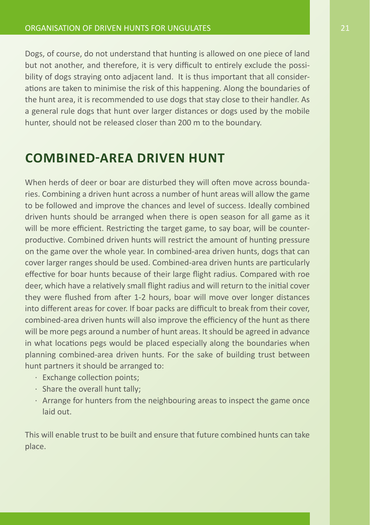Dogs, of course, do not understand that hunting is allowed on one piece of land but not another, and therefore, it is very difficult to entirely exclude the possibility of dogs straying onto adjacent land. It is thus important that all considerations are taken to minimise the risk of this happening. Along the boundaries of the hunt area, it is recommended to use dogs that stay close to their handler. As a general rule dogs that hunt over larger distances or dogs used by the mobile hunter, should not be released closer than 200 m to the boundary.

## **Combined-area driven hunt**

When herds of deer or boar are disturbed they will often move across boundaries. Combining a driven hunt across a number of hunt areas will allow the game to be followed and improve the chances and level of success. Ideally combined driven hunts should be arranged when there is open season for all game as it will be more efficient. Restricting the target game, to say boar, will be counterproductive. Combined driven hunts will restrict the amount of hunting pressure on the game over the whole year. In combined-area driven hunts, dogs that can cover larger ranges should be used. Combined-area driven hunts are particularly effective for boar hunts because of their large flight radius. Compared with roe deer, which have a relatively small flight radius and will return to the initial cover they were flushed from after 1-2 hours, boar will move over longer distances into different areas for cover. If boar packs are difficult to break from their cover, combined-area driven hunts will also improve the efficiency of the hunt as there will be more pegs around a number of hunt areas. It should be agreed in advance in what locations pegs would be placed especially along the boundaries when planning combined-area driven hunts. For the sake of building trust between hunt partners it should be arranged to:

- · Exchange collection points;
- · Share the overall hunt tally;
- · Arrange for hunters from the neighbouring areas to inspect the game once laid out.

This will enable trust to be built and ensure that future combined hunts can take place.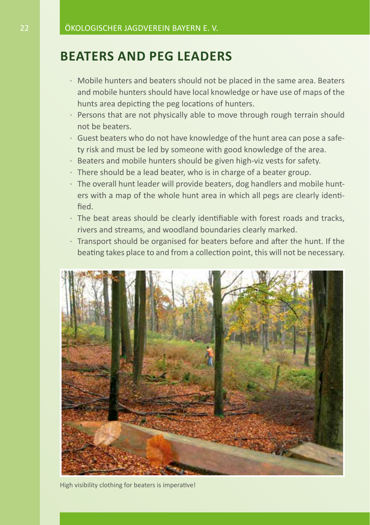### **Beaters and peg leaders**

- · Mobile hunters and beaters should not be placed in the same area. Beaters and mobile hunters should have local knowledge or have use of maps of the hunts area depicting the peg locations of hunters.
- · Persons that are not physically able to move through rough terrain should not be beaters.
- · Guest beaters who do not have knowledge of the hunt area can pose a safety risk and must be led by someone with good knowledge of the area.
- · Beaters and mobile hunters should be given high-viz vests for safety.
- $\cdot$  There should be a lead beater, who is in charge of a beater group.
- · The overall hunt leader will provide beaters, dog handlers and mobile hunters with a map of the whole hunt area in which all pegs are clearly identified.
- · The beat areas should be clearly identifiable with forest roads and tracks, rivers and streams, and woodland boundaries clearly marked.
- · Transport should be organised for beaters before and after the hunt. If the beating takes place to and from a collection point, this will not be necessary.



High visibility clothing for beaters is imperative!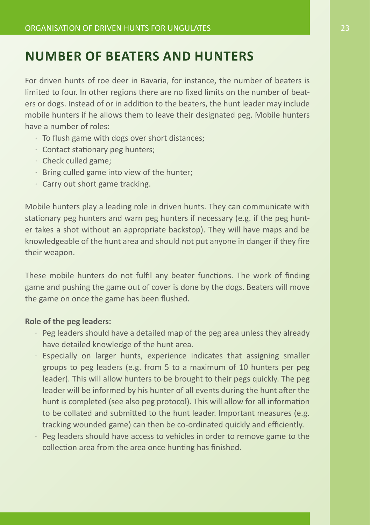## **Number of beaters and hunters**

For driven hunts of roe deer in Bavaria, for instance, the number of beaters is limited to four. In other regions there are no fixed limits on the number of beaters or dogs. Instead of or in addition to the beaters, the hunt leader may include mobile hunters if he allows them to leave their designated peg. Mobile hunters have a number of roles:

- · To flush game with dogs over short distances;
- · Contact stationary peg hunters;
- · Check culled game;
- · Bring culled game into view of the hunter;
- · Carry out short game tracking.

Mobile hunters play a leading role in driven hunts. They can communicate with stationary peg hunters and warn peg hunters if necessary (e.g. if the peg hunter takes a shot without an appropriate backstop). They will have maps and be knowledgeable of the hunt area and should not put anyone in danger if they fire their weapon.

These mobile hunters do not fulfil any beater functions. The work of finding game and pushing the game out of cover is done by the dogs. Beaters will move the game on once the game has been flushed.

#### **Role of the peg leaders:**

- · Peg leaders should have a detailed map of the peg area unless they already have detailed knowledge of the hunt area.
- · Especially on larger hunts, experience indicates that assigning smaller groups to peg leaders (e.g. from 5 to a maximum of 10 hunters per peg leader). This will allow hunters to be brought to their pegs quickly. The peg leader will be informed by his hunter of all events during the hunt after the hunt is completed (see also peg protocol). This will allow for all information to be collated and submitted to the hunt leader. Important measures (e.g. tracking wounded game) can then be co-ordinated quickly and efficiently.
- · Peg leaders should have access to vehicles in order to remove game to the collection area from the area once hunting has finished.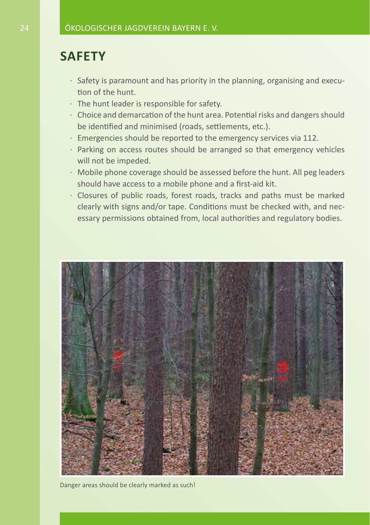## **Safety**

- · Safety is paramount and has priority in the planning, organising and execution of the hunt.
- · The hunt leader is responsible for safety.
- · Choice and demarcation of the hunt area. Potential risks and dangers should be identified and minimised (roads, settlements, etc.).
- · Emergencies should be reported to the emergency services via 112.
- · Parking on access routes should be arranged so that emergency vehicles will not be impeded.
- · Mobile phone coverage should be assessed before the hunt. All peg leaders should have access to a mobile phone and a first-aid kit.
- · Closures of public roads, forest roads, tracks and paths must be marked clearly with signs and/or tape. Conditions must be checked with, and necessary permissions obtained from, local authorities and regulatory bodies.



Danger areas should be clearly marked as such!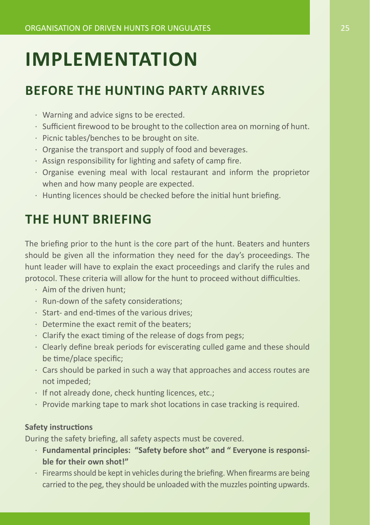## **Implementation**

## **Before the hunting party arrives**

- · Warning and advice signs to be erected.
- · Sufficient firewood to be brought to the collection area on morning of hunt.
- · Picnic tables/benches to be brought on site.
- · Organise the transport and supply of food and beverages.
- · Assign responsibility for lighting and safety of camp fire.
- · Organise evening meal with local restaurant and inform the proprietor when and how many people are expected.
- $\cdot$  Hunting licences should be checked before the initial hunt briefing.

## **The hunt briefing**

The briefing prior to the hunt is the core part of the hunt. Beaters and hunters should be given all the information they need for the day's proceedings. The hunt leader will have to explain the exact proceedings and clarify the rules and protocol. These criteria will allow for the hunt to proceed without difficulties.

- · Aim of the driven hunt;
- · Run-down of the safety considerations;
- · Start- and end-times of the various drives;
- · Determine the exact remit of the beaters;
- · Clarify the exact timing of the release of dogs from pegs;
- · Clearly define break periods for eviscerating culled game and these should be time/place specific;
- · Cars should be parked in such a way that approaches and access routes are not impeded;
- · If not already done, check hunting licences, etc.;
- · Provide marking tape to mark shot locations in case tracking is required.

#### **Safety instructions**

During the safety briefing, all safety aspects must be covered.

- · **Fundamental principles: "Safety before shot" and " Everyone is responsible for their own shot!"**
- · Firearms should be kept in vehicles during the briefing. When firearms are being carried to the peg, they should be unloaded with the muzzles pointing upwards.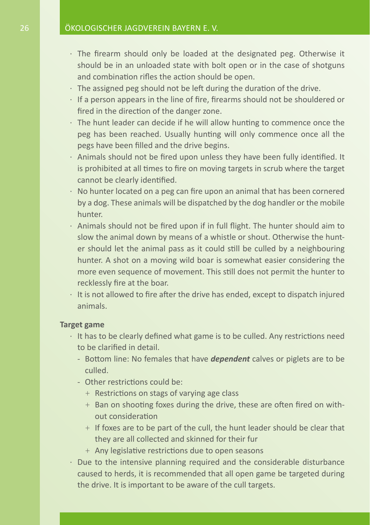- · The firearm should only be loaded at the designated peg. Otherwise it should be in an unloaded state with bolt open or in the case of shotguns and combination rifles the action should be open.
- $\cdot$  The assigned peg should not be left during the duration of the drive.
- · If a person appears in the line of fire, firearms should not be shouldered or fired in the direction of the danger zone.
- · The hunt leader can decide if he will allow hunting to commence once the peg has been reached. Usually hunting will only commence once all the pegs have been filled and the drive begins.
- · Animals should not be fired upon unless they have been fully identified. It is prohibited at all times to fire on moving targets in scrub where the target cannot be clearly identified.
- · No hunter located on a peg can fire upon an animal that has been cornered by a dog. These animals will be dispatched by the dog handler or the mobile hunter.
- · Animals should not be fired upon if in full flight. The hunter should aim to slow the animal down by means of a whistle or shout. Otherwise the hunter should let the animal pass as it could still be culled by a neighbouring hunter. A shot on a moving wild boar is somewhat easier considering the more even sequence of movement. This still does not permit the hunter to recklessly fire at the boar.
- $\cdot$  It is not allowed to fire after the drive has ended, except to dispatch injured animals.

#### **Target game**

- · It has to be clearly defined what game is to be culled. Any restrictions need to be clarified in detail.
	- Bottom line: No females that have *dependent* calves or piglets are to be culled.
	- Other restrictions could be:
		- + Restrictions on stags of varying age class
		- + Ban on shooting foxes during the drive, these are often fired on without consideration
		- + If foxes are to be part of the cull, the hunt leader should be clear that they are all collected and skinned for their fur
		- + Any legislative restrictions due to open seasons
- · Due to the intensive planning required and the considerable disturbance caused to herds, it is recommended that all open game be targeted during the drive. It is important to be aware of the cull targets.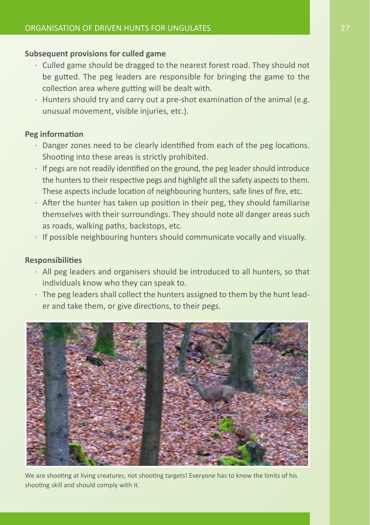#### **Subsequent provisions for culled game**

- · Culled game should be dragged to the nearest forest road. They should not be gutted. The peg leaders are responsible for bringing the game to the collection area where gutting will be dealt with.
- $\cdot$  Hunters should try and carry out a pre-shot examination of the animal (e.g. unusual movement, visible injuries, etc.).

#### **Peg information**

- · Danger zones need to be clearly identified from each of the peg locations. Shooting into these areas is strictly prohibited.
- $\cdot$  If pegs are not readily identified on the ground, the peg leader should introduce the hunters to their respective pegs and highlight all the safety aspects to them. These aspects include location of neighbouring hunters, safe lines of fire, etc.
- · After the hunter has taken up position in their peg, they should familiarise themselves with their surroundings. They should note all danger areas such as roads, walking paths, backstops, etc.
- · If possible neighbouring hunters should communicate vocally and visually.

#### **Responsibilities**

- · All peg leaders and organisers should be introduced to all hunters, so that individuals know who they can speak to.
- · The peg leaders shall collect the hunters assigned to them by the hunt leader and take them, or give directions, to their pegs.



We are shooting at living creatures, not shooting targets! Everyone has to know the limits of his shooting skill and should comply with it.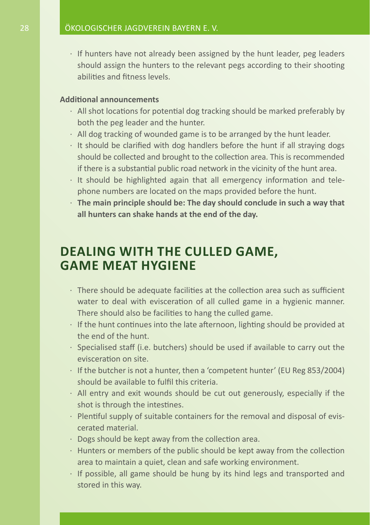· If hunters have not already been assigned by the hunt leader, peg leaders should assign the hunters to the relevant pegs according to their shooting abilities and fitness levels.

#### **Additional announcements**

- · All shot locations for potential dog tracking should be marked preferably by both the peg leader and the hunter.
- · All dog tracking of wounded game is to be arranged by the hunt leader.
- · It should be clarified with dog handlers before the hunt if all straying dogs should be collected and brought to the collection area. This is recommended if there is a substantial public road network in the vicinity of the hunt area.
- · It should be highlighted again that all emergency information and telephone numbers are located on the maps provided before the hunt.
- · **The main principle should be: The day should conclude in such a way that all hunters can shake hands at the end of the day.**

### **Dealing with the culled game, game meat hygiene**

- · There should be adequate facilities at the collection area such as sufficient water to deal with evisceration of all culled game in a hygienic manner. There should also be facilities to hang the culled game.
- · If the hunt continues into the late afternoon, lighting should be provided at the end of the hunt.
- · Specialised staff (i.e. butchers) should be used if available to carry out the evisceration on site.
- · If the butcher is not a hunter, then a 'competent hunter' (EU Reg 853/2004) should be available to fulfil this criteria.
- · All entry and exit wounds should be cut out generously, especially if the shot is through the intestines.
- · Plentiful supply of suitable containers for the removal and disposal of eviscerated material.
- · Dogs should be kept away from the collection area.
- · Hunters or members of the public should be kept away from the collection area to maintain a quiet, clean and safe working environment.
- · If possible, all game should be hung by its hind legs and transported and stored in this way.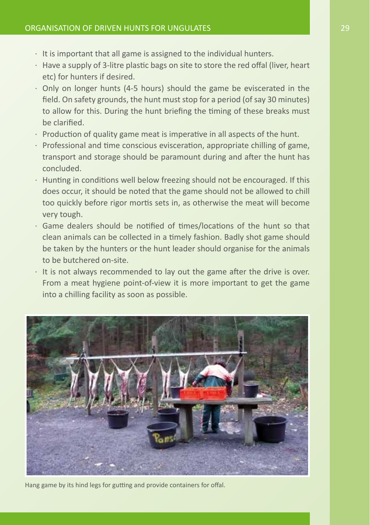- $\cdot$  It is important that all game is assigned to the individual hunters.
- · Have a supply of 3-litre plastic bags on site to store the red offal (liver, heart etc) for hunters if desired.
- · Only on longer hunts (4-5 hours) should the game be eviscerated in the field. On safety grounds, the hunt must stop for a period (of say 30 minutes) to allow for this. During the hunt briefing the timing of these breaks must be clarified.
- · Production of quality game meat is imperative in all aspects of the hunt.
- · Professional and time conscious evisceration, appropriate chilling of game, transport and storage should be paramount during and after the hunt has concluded.
- · Hunting in conditions well below freezing should not be encouraged. If this does occur, it should be noted that the game should not be allowed to chill too quickly before rigor mortis sets in, as otherwise the meat will become very tough.
- · Game dealers should be notified of times/locations of the hunt so that clean animals can be collected in a timely fashion. Badly shot game should be taken by the hunters or the hunt leader should organise for the animals to be butchered on-site.
- · It is not always recommended to lay out the game after the drive is over. From a meat hygiene point-of-view it is more important to get the game into a chilling facility as soon as possible.



Hang game by its hind legs for gutting and provide containers for offal.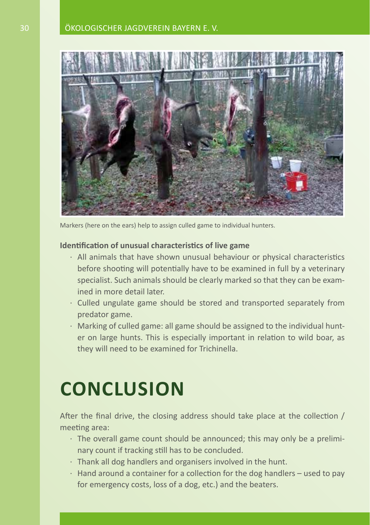#### 30 Ökologischer Jagdverein Bayern e. V.



Markers (here on the ears) help to assign culled game to individual hunters.

#### **Identification of unusual characteristics of live game**

- · All animals that have shown unusual behaviour or physical characteristics before shooting will potentially have to be examined in full by a veterinary specialist. Such animals should be clearly marked so that they can be examined in more detail later.
- · Culled ungulate game should be stored and transported separately from predator game.
- · Marking of culled game: all game should be assigned to the individual hunter on large hunts. This is especially important in relation to wild boar, as they will need to be examined for Trichinella.

## **Conclusion**

After the final drive, the closing address should take place at the collection / meeting area:

- · The overall game count should be announced; this may only be a preliminary count if tracking still has to be concluded.
- $\cdot$  Thank all dog handlers and organisers involved in the hunt.
- $\cdot$  Hand around a container for a collection for the dog handlers used to pay for emergency costs, loss of a dog, etc.) and the beaters.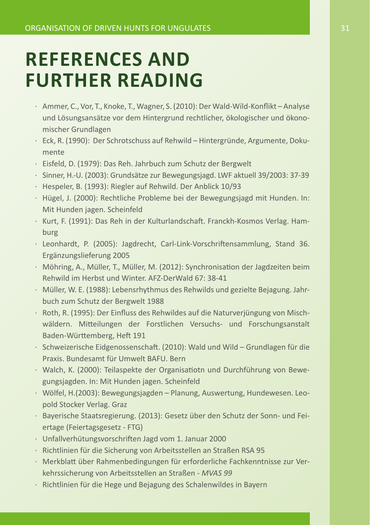## **References and further reading**

- · Ammer, C., Vor, T., Knoke, T., Wagner, S. (2010): Der Wald-Wild-Konflikt Analyse und Lösungsansätze vor dem Hintergrund rechtlicher, ökologischer und ökonomischer Grundlagen
- · Eck, R. (1990): Der Schrotschuss auf Rehwild Hintergründe, Argumente, Dokumente
- · Eisfeld, D. (1979): Das Reh. Jahrbuch zum Schutz der Bergwelt
- · Sinner, H.-U. (2003): Grundsätze zur Bewegungsjagd. LWF aktuell 39/2003: 37-39
- · Hespeler, B. (1993): Riegler auf Rehwild. Der Anblick 10/93
- · Hügel, J. (2000): Rechtliche Probleme bei der Bewegungsjagd mit Hunden. In: Mit Hunden jagen. Scheinfeld
- · Kurt, F. (1991): Das Reh in der Kulturlandschaft. Franckh-Kosmos Verlag. Hamburg
- · Leonhardt, P. (2005): Jagdrecht, Carl-Link-Vorschriftensammlung, Stand 36. Ergänzungslieferung 2005
- · Möhring, A., Müller, T., Müller, M. (2012): Synchronisation der Jagdzeiten beim Rehwild im Herbst und Winter. AFZ-DerWald 67: 38-41
- · Müller, W. E. (1988): Lebensrhythmus des Rehwilds und gezielte Bejagung. Jahrbuch zum Schutz der Bergwelt 1988
- · Roth, R. (1995): Der Einfluss des Rehwildes auf die Naturverjüngung von Mischwäldern. Mitteilungen der Forstlichen Versuchs- und Forschungsanstalt Baden-Württemberg, Heft 191
- · Schweizerische Eidgenossenschaft. (2010): Wald und Wild Grundlagen für die Praxis. Bundesamt für Umwelt BAFU. Bern
- · Walch, K. (2000): Teilaspekte der Organisatiotn und Durchführung von Bewegungsjagden. In: Mit Hunden jagen. Scheinfeld
- · Wölfel, H.(2003): Bewegungsjagden Planung, Auswertung, Hundewesen. Leopold Stocker Verlag. Graz
- · Bayerische Staatsregierung. (2013): Gesetz über den Schutz der Sonn- und Feiertage (Feiertagsgesetz - FTG)
- · Unfallverhütungsvorschriften Jagd vom 1. Januar 2000
- · Richtlinien für die Sicherung von Arbeitsstellen an Straßen RSA 95
- · Merkblatt über Rahmenbedingungen für erforderliche Fachkenntnisse zur Verkehrssicherung von Arbeitsstellen an Straßen - *MVAS 99*
- · Richtlinien für die Hege und Bejagung des Schalenwildes in Bayern